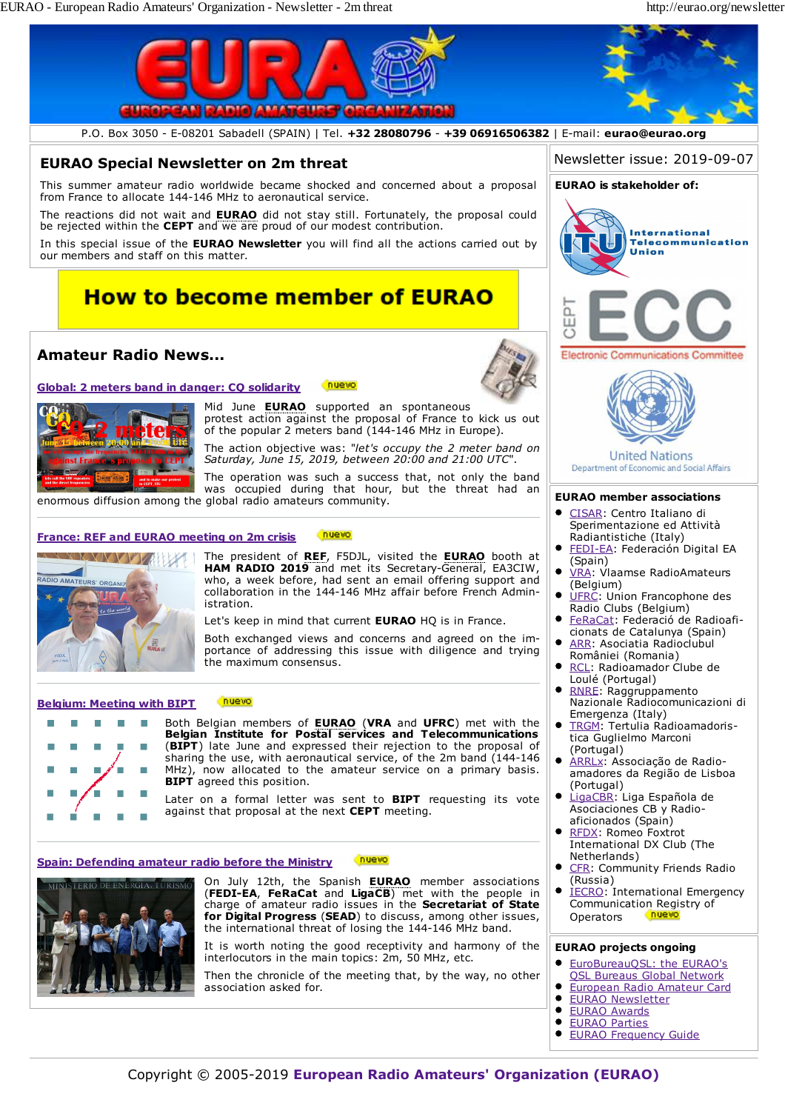